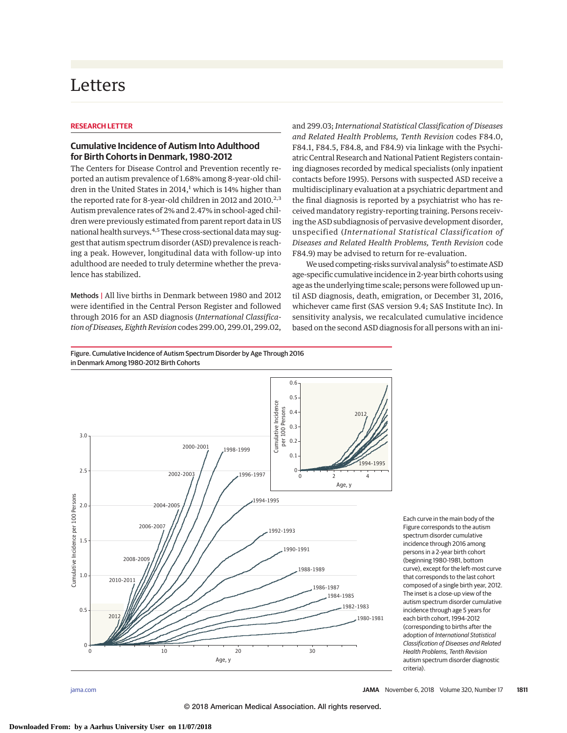## Letters

## **RESEARCH LETTER**

## **Cumulative Incidence of Autism Into Adulthood for Birth Cohorts in Denmark, 1980-2012**

The Centers for Disease Control and Prevention recently reported an autism prevalence of 1.68% among 8-year-old children in the United States in  $2014<sup>1</sup>$  which is 14% higher than the reported rate for 8-year-old children in 2012 and 2010.<sup>2,3</sup> Autism prevalence rates of 2% and 2.47% in school-aged children were previously estimated from parent report data in US national health surveys.<sup>4,5</sup> These cross-sectional data may suggest that autism spectrum disorder (ASD) prevalence is reaching a peak. However, longitudinal data with follow-up into adulthood are needed to truly determine whether the prevalence has stabilized.

Methods | All live births in Denmark between 1980 and 2012 were identified in the Central Person Register and followed through 2016 for an ASD diagnosis (*International Classification of Diseases, Eighth Revision* codes 299.00, 299.01, 299.02,

and 299.03; *International Statistical Classification of Diseases and Related Health Problems, Tenth Revision* codes F84.0, F84.1, F84.5, F84.8, and F84.9) via linkage with the Psychiatric Central Research and National Patient Registers containing diagnoses recorded by medical specialists (only inpatient contacts before 1995). Persons with suspected ASD receive a multidisciplinary evaluation at a psychiatric department and the final diagnosis is reported by a psychiatrist who has received mandatory registry-reporting training. Persons receiving the ASD subdiagnosis of pervasive development disorder, unspecified (*International Statistical Classification of Diseases and Related Health Problems, Tenth Revision* code F84.9) may be advised to return for re-evaluation.

We used competing-risks survival analysis<sup>6</sup> to estimate ASD age-specific cumulative incidence in 2-year birth cohorts using age as the underlying time scale; persons were followed up until ASD diagnosis, death, emigration, or December 31, 2016, whichever came first (SAS version 9.4; SAS Institute Inc). In sensitivity analysis, we recalculated cumulative incidence based on the second ASD diagnosis for all persons with an ini-

Figure. Cumulative Incidence of Autism Spectrum Disorder by Age Through 2016 in Denmark Among 1980-2012 Birth Cohorts



Each curve in the main body of the Figure corresponds to the autism spectrum disorder cumulative incidence through 2016 among persons in a 2-year birth cohort (beginning 1980-1981, bottom curve), except for the left-most curve that corresponds to the last cohort composed of a single birth year, 2012. The inset is a close-up view of the autism spectrum disorder cumulative incidence through age 5 years for each birth cohort, 1994-2012 (corresponding to births after the adoption of International Statistical Classification of Diseases and Related Health Problems, Tenth Revision autism spectrum disorder diagnostic criteria).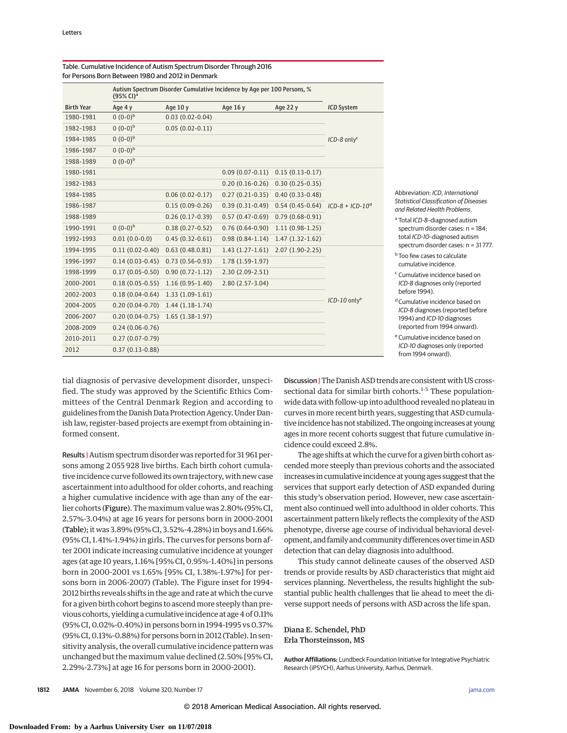|                   | Autism Spectrum Disorder Cumulative Incidence by Age per 100 Persons, %<br>$(95\%$ CI) <sup>a</sup> |                     |                   |                     |                            |
|-------------------|-----------------------------------------------------------------------------------------------------|---------------------|-------------------|---------------------|----------------------------|
| <b>Birth Year</b> | Age 4 y                                                                                             | Age 10 y            | Age 16 y          | Age 22 y            | <b>ICD System</b>          |
| 1980-1981         | $0(0-0)b$                                                                                           | $0.03(0.02-0.04)$   |                   |                     |                            |
| 1982-1983         | $0(0-0)^{b}$                                                                                        | $0.05(0.02-0.11)$   |                   |                     |                            |
| 1984-1985         | $0(0-0)^{b}$                                                                                        |                     |                   |                     | $ICD-8$ only <sup>c</sup>  |
| 1986-1987         | $0(0-0)^{b}$                                                                                        |                     |                   |                     |                            |
| 1988-1989         | $0(0-0)^{b}$                                                                                        |                     |                   |                     |                            |
| 1980-1981         |                                                                                                     |                     | $0.09(0.07-0.11)$ | $0.15(0.13-0.17)$   | $ICD-8 + ICD-10d$          |
| 1982-1983         |                                                                                                     |                     | $0.20(0.16-0.26)$ | $0.30(0.25-0.35)$   |                            |
| 1984-1985         |                                                                                                     | $0.06(0.02-0.17)$   | $0.27(0.21-0.35)$ | $0.40(0.33 - 0.48)$ |                            |
| 1986-1987         |                                                                                                     | $0.15(0.09-0.26)$   | $0.39(0.31-0.49)$ | $0.54(0.45-0.64)$   |                            |
| 1988-1989         |                                                                                                     | $0.26(0.17-0.39)$   | $0.57(0.47-0.69)$ | $0.79(0.68-0.91)$   |                            |
| 1990-1991         | $0(0-0)^{b}$                                                                                        | $0.38(0.27-0.52)$   | $0.76(0.64-0.90)$ | $1.11(0.98-1.25)$   |                            |
| 1992-1993         | $0.01(0.0-0.0)$                                                                                     | $0.45(0.32-0.61)$   | $0.98(0.84-1.14)$ | $1.47(1.32-1.62)$   |                            |
| 1994-1995         | $0.11(0.02-0.40)$                                                                                   | 0.63(0.48.0.81)     | $1.43(1.27-1.61)$ | $2.07(1.90-2.25)$   |                            |
| 1996-1997         | $0.14(0.03-0.45)$                                                                                   | $0.73(0.56-0.93)$   | $1.78(1.59-1.97)$ |                     |                            |
| 1998-1999         | $0.17(0.05-0.50)$                                                                                   | $0.90(0.72 - 1.12)$ | $2.30(2.09-2.51)$ |                     |                            |
| 2000-2001         | $0.18(0.05-0.55)$                                                                                   | $1.16(0.95-1.40)$   | $2.80(2.57-3.04)$ |                     |                            |
| 2002-2003         | $0.18(0.04-0.64)$                                                                                   | $1.33(1.09-1.61)$   |                   |                     | $ICD-10$ only <sup>e</sup> |
| 2004-2005         | $0.20(0.04-0.70)$                                                                                   | $1.44(1.18-1.74)$   |                   |                     |                            |
| 2006-2007         | $0.20(0.04-0.75)$                                                                                   | $1.65(1.38-1.97)$   |                   |                     |                            |
| 2008-2009         | $0.24(0.06-0.76)$                                                                                   |                     |                   |                     |                            |
| 2010-2011         | $0.27(0.07-0.79)$                                                                                   |                     |                   |                     |                            |
| 2012              | $0.37(0.13-0.88)$                                                                                   |                     |                   |                     |                            |

Table. Cumulative Incidence of Autism Spectrum Disorder Through 2016 for Persons Born Between 1980 and 2012 in Denmark

> Abbreviation: ICD, International Statistical Classification of Diseases and Related Health Problems.

a Total ICD-8-diagnosed autism spectrum disorder cases: n = 184; total ICD-10–diagnosed autism spectrum disorder cases: n = 31 777.

**b** Too few cases to calculate cumulative incidence.

<sup>c</sup> Cumulative incidence based on ICD-8 diagnoses only (reported before 1994).

<sup>d</sup> Cumulative incidence based on ICD-8 diagnoses (reported before 1994) and ICD-10 diagnoses (reported from 1994 onward).

<sup>e</sup> Cumulative incidence based on ICD-10 diagnoses only (reported from 1994 onward).

tial diagnosis of pervasive development disorder, unspecified. The study was approved by the Scientific Ethics Committees of the Central Denmark Region and according to guidelines from the Danish Data Protection Agency. Under Danish law, register-based projects are exempt from obtaining informed consent.

Results | Autism spectrum disorder was reported for 31 961 persons among 2 055 928 live births. Each birth cohort cumulative incidence curve followed its own trajectory, with new case ascertainment into adulthood for older cohorts, and reaching a higher cumulative incidence with age than any of the earlier cohorts (Figure). The maximum value was 2.80% (95% CI, 2.57%-3.04%) at age 16 years for persons born in 2000-2001 (Table); it was 3.89% (95% CI, 3.52%-4.28%) in boys and 1.66% (95% CI, 1.41%-1.94%) in girls. The curves for persons born after 2001 indicate increasing cumulative incidence at younger ages (at age 10 years, 1.16% [95% CI, 0.95%-1.40%] in persons born in 2000-2001 vs 1.65% [95% CI, 1.38%-1.97%] for persons born in 2006-2007) (Table). The Figure inset for 1994- 2012 births reveals shifts in the age and rate at which the curve for a given birth cohort begins to ascend more steeply than previous cohorts, yielding a cumulative incidence at age 4 of 0.11% (95% CI, 0.02%-0.40%) in persons born in 1994-1995 vs 0.37% (95% CI, 0.13%-0.88%) for persons born in 2012 (Table). In sensitivity analysis, the overall cumulative incidence pattern was unchanged but the maximum value declined (2.50% [95% CI, 2.29%-2.73%] at age 16 for persons born in 2000-2001).

Discussion | The Danish ASD trends are consistent with US crosssectional data for similar birth cohorts.<sup>1-5</sup> These populationwide data with follow-up into adulthood revealed no plateau in curves in more recent birth years, suggesting that ASD cumulative incidence has not stabilized.The ongoing increases at young ages in more recent cohorts suggest that future cumulative incidence could exceed 2.8%.

The age shifts at which the curve for a given birth cohort ascended more steeply than previous cohorts and the associated increases in cumulative incidence at young ages suggest that the services that support early detection of ASD expanded during this study's observation period. However, new case ascertainment also continued well into adulthood in older cohorts. This ascertainment pattern likely reflects the complexity of the ASD phenotype, diverse age course of individual behavioral development, and family and community differences over time in ASD detection that can delay diagnosis into adulthood.

This study cannot delineate causes of the observed ASD trends or provide results by ASD characteristics that might aid services planning. Nevertheless, the results highlight the substantial public health challenges that lie ahead to meet the diverse support needs of persons with ASD across the life span.

Diana E. Schendel, PhD Erla Thorsteinsson, MS

**Author Affiliations:** Lundbeck Foundation Initiative for Integrative Psychiatric Research (iPSYCH), Aarhus University, Aarhus, Denmark.